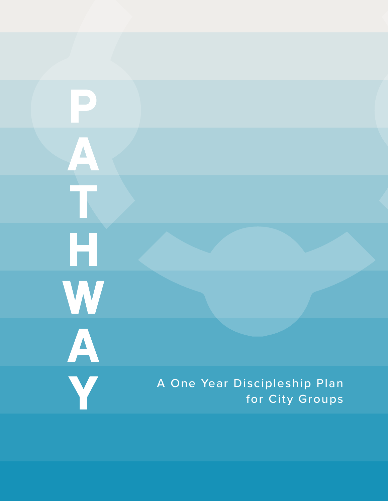$\Delta$  $\mathcal{L}_{\mathcal{A}}$ H<br>W<br>A<br>Y A One Year Discipleship Plan for City Groups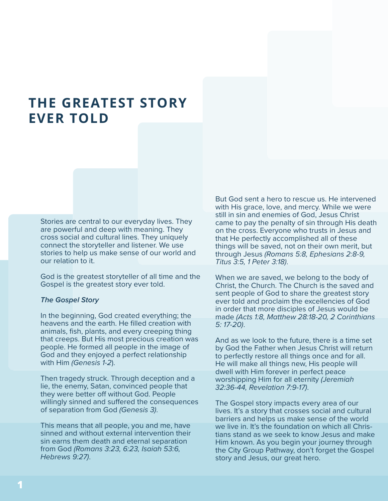# **THE GREATEST STORY EVER TOLD**

Stories are central to our everyday lives. They are powerful and deep with meaning. They cross social and cultural lines. They uniquely connect the storyteller and listener. We use stories to help us make sense of our world and our relation to it.

God is the greatest storyteller of all time and the Gospel is the greatest story ever told.

#### *The Gospel Story*

In the beginning, God created everything; the heavens and the earth. He filled creation with animals, fish, plants, and every creeping thing that creeps. But His most precious creation was people. He formed all people in the image of God and they enjoyed a perfect relationship with Him *(Genesis 1-2*).

Then tragedy struck. Through deception and a lie, the enemy, Satan, convinced people that they were better off without God. People willingly sinned and suffered the consequences of separation from God *(Genesis 3)*.

This means that all people, you and me, have sinned and without external intervention their sin earns them death and eternal separation from God *(Romans 3:23, 6:23, Isaiah 53:6, Hebrews 9:27)*.

But God sent a hero to rescue us. He intervened with His grace, love, and mercy. While we were still in sin and enemies of God, Jesus Christ came to pay the penalty of sin through His death on the cross. Everyone who trusts in Jesus and that He perfectly accomplished all of these things will be saved, not on their own merit, but through Jesus *(Romans 5:8, Ephesians 2:8-9, Titus 3:5, 1 Peter 3:18)*.

When we are saved, we belong to the body of Christ, the Church. The Church is the saved and sent people of God to share the greatest story ever told and proclaim the excellencies of God in order that more disciples of Jesus would be made *(Acts 1:8, Matthew 28:18-20, 2 Corinthians 5: 17-20)*.

And as we look to the future, there is a time set by God the Father when Jesus Christ will return to perfectly restore all things once and for all. He will make all things new, His people will dwell with Him forever in perfect peace worshipping Him for all eternity *(Jeremiah 32:36-44, Revelation 7:9-17)*.

The Gospel story impacts every area of our lives. It's a story that crosses social and cultural barriers and helps us make sense of the world we live in. It's the foundation on which all Christians stand as we seek to know Jesus and make Him known. As you begin your journey through the City Group Pathway, don't forget the Gospel story and Jesus, our great hero.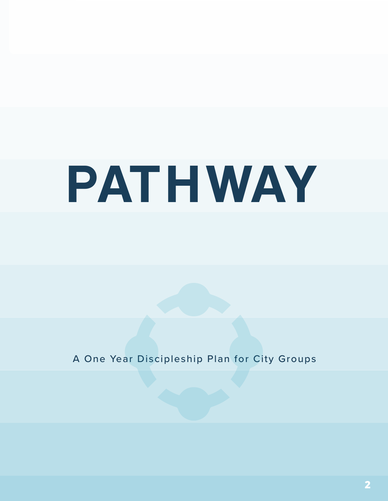# PAT HWAY

A One Year Discipleship Plan for City Groups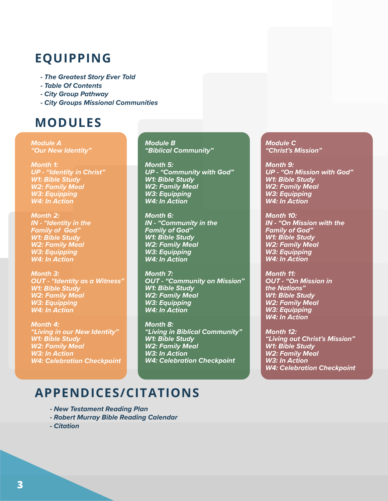# **EQUIPPING**

- *The Greatest Story Ever Told*
- *Table Of Contents*
- *City Group Pathway*
- *City Groups Missional Communities*

# **MODULES**

*Module A "Our New Identity"*

*Month 1: UP - "Identity in Christ" W1: Bible Study W2: Family Meal W3: Equipping W4: In Action*

*Month 2: IN - "Identity in the Family of God" W1: Bible Study W2: Family Meal W3: Equipping W4: In Action*

*Month 3: OUT - "Identity as a Witness" W1: Bible Study W2: Family Meal W3: Equipping W4: In Action*

*Month 4: "Living in our New Identity" W1: Bible Study W2: Family Meal W3: In Action W4: Celebration Checkpoint* *Module B "Biblical Community"*

*Month 5: UP - "Community with God" W1: Bible Study W2: Family Meal W3: Equipping W4: In Action*

*Month 6: IN - "Community in the Family of God" W1: Bible Study W2: Family Meal W3: Equipping W4: In Action*

*Month 7: OUT - "Community on Mission" W1: Bible Study W2: Family Meal W3: Equipping W4: In Action*

*Month 8: "Living in Biblical Community" W1: Bible Study W2: Family Meal W3: In Action W4: Celebration Checkpoint*

*Module C "Christ's Mission"*

*Month 9: UP - "On Mission with God" W1: Bible Study W2: Family Meal W3: Equipping W4: In Action*

*Month 10: IN - "On Mission with the Family of God" W1: Bible Study W2: Family Meal W3: Equipping W4: In Action*

*Month 11: OUT - "On Mission in the Nations" W1: Bible Study W2: Family Meal W3: Equipping W4: In Action*

*Month 12: "Living out Christ's Mission" W1: Bible Study W2: Family Meal W3: In Action W4: Celebration Checkpoint*

## **APPENDICES/CITATIONS**

- *New Testament Reading Plan*
- *Robert Murray Bible Reading Calendar*
- *Citation*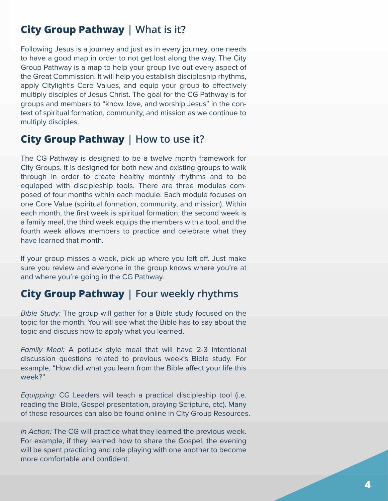## **City Group Pathway | What is it?**

Following Jesus is a journey and just as in every journey, one needs to have a good map in order to not get lost along the way. The City Group Pathway is a map to help your group live out every aspect of the Great Commission. It will help you establish discipleship rhythms, apply Citylight's Core Values, and equip your group to effectively multiply disciples of Jesus Christ. The goal for the CG Pathway is for groups and members to "know, love, and worship Jesus" in the context of spiritual formation, community, and mission as we continue to multiply disciples.

## **City Group Pathway | How to use it?**

The CG Pathway is designed to be a twelve month framework for City Groups. It is designed for both new and existing groups to walk through in order to create healthy monthly rhythms and to be equipped with discipleship tools. There are three modules composed of four months within each module. Each module focuses on one Core Value (spiritual formation, community, and mission). Within each month, the first week is spiritual formation, the second week is a family meal, the third week equips the members with a tool, and the fourth week allows members to practice and celebrate what they have learned that month.

If your group misses a week, pick up where you left off. Just make sure you review and everyone in the group knows where you're at and where you're going in the CG Pathway.

## **City Group Pathway | Four weekly rhythms**

*Bible Study:* The group will gather for a Bible study focused on the topic for the month. You will see what the Bible has to say about the topic and discuss how to apply what you learned.

*Family Meal:* A potluck style meal that will have 2-3 intentional discussion questions related to previous week's Bible study. For example, "How did what you learn from the Bible affect your life this week?"

*Equipping:* CG Leaders will teach a practical discipleship tool (i.e. reading the Bible, Gospel presentation, praying Scripture, etc). Many of these resources can also be found online in City Group Resources.

*In Action:* The CG will practice what they learned the previous week. For example, if they learned how to share the Gospel, the evening will be spent practicing and role playing with one another to become more comfortable and confident.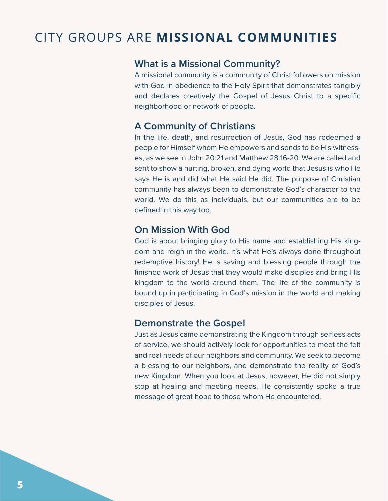# CITY GROUPS ARE **MISSIONAL COMMUNITIES**

## **What is a Missional Community?**

A missional community is a community of Christ followers on mission with God in obedience to the Holy Spirit that demonstrates tangibly and declares creatively the Gospel of Jesus Christ to a specific neighborhood or network of people.

## **A Community of Christians**

In the life, death, and resurrection of Jesus, God has redeemed a people for Himself whom He empowers and sends to be His witnesses, as we see in John 20:21 and Matthew 28:16-20. We are called and sent to show a hurting, broken, and dying world that Jesus is who He says He is and did what He said He did. The purpose of Christian community has always been to demonstrate God's character to the world. We do this as individuals, but our communities are to be defined in this way too.

## **On Mission With God**

God is about bringing glory to His name and establishing His kingdom and reign in the world. It's what He's always done throughout redemptive history! He is saving and blessing people through the finished work of Jesus that they would make disciples and bring His kingdom to the world around them. The life of the community is bound up in participating in God's mission in the world and making disciples of Jesus.

#### **Demonstrate the Gospel**

Just as Jesus came demonstrating the Kingdom through selfless acts of service, we should actively look for opportunities to meet the felt and real needs of our neighbors and community. We seek to become a blessing to our neighbors, and demonstrate the reality of God's new Kingdom. When you look at Jesus, however, He did not simply stop at healing and meeting needs. He consistently spoke a true message of great hope to those whom He encountered.